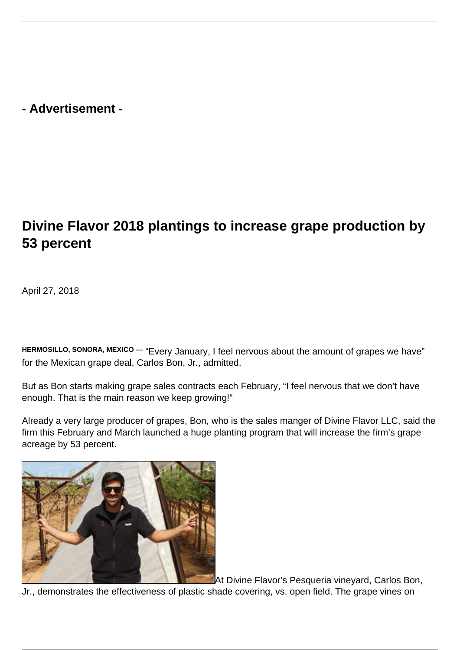**- Advertisement -**

## **Divine Flavor 2018 plantings to increase grape production by 53 percent**

April 27, 2018

**HERMOSILLO, SONORA, MEXICO —** "Every January, I feel nervous about the amount of grapes we have" for the Mexican grape deal, Carlos Bon, Jr., admitted.

But as Bon starts making grape sales contracts each February, "I feel nervous that we don't have enough. That is the main reason we keep growing!"

Already a very large producer of grapes, Bon, who is the sales manger of Divine Flavor LLC, said the firm this February and March launched a huge planting program that will increase the firm's grape acreage by 53 percent.



At Divine Flavor's Pesqueria vineyard, Carlos Bon,

Jr., demonstrates the effectiveness of plastic shade covering, vs. open field. The grape vines on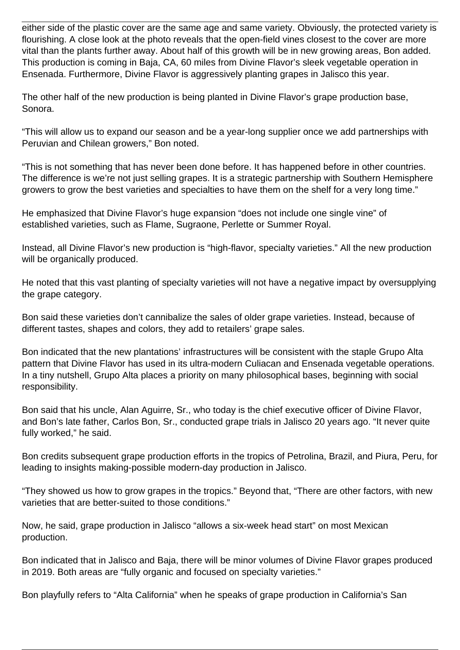either side of the plastic cover are the same age and same variety. Obviously, the protected variety is flourishing. A close look at the photo reveals that the open-field vines closest to the cover are more vital than the plants further away. About half of this growth will be in new growing areas, Bon added. This production is coming in Baja, CA, 60 miles from Divine Flavor's sleek vegetable operation in Ensenada. Furthermore, Divine Flavor is aggressively planting grapes in Jalisco this year.

The other half of the new production is being planted in Divine Flavor's grape production base, Sonora.

"This will allow us to expand our season and be a year-long supplier once we add partnerships with Peruvian and Chilean growers," Bon noted.

"This is not something that has never been done before. It has happened before in other countries. The difference is we're not just selling grapes. It is a strategic partnership with Southern Hemisphere growers to grow the best varieties and specialties to have them on the shelf for a very long time."

He emphasized that Divine Flavor's huge expansion "does not include one single vine" of established varieties, such as Flame, Sugraone, Perlette or Summer Royal.

Instead, all Divine Flavor's new production is "high-flavor, specialty varieties." All the new production will be organically produced.

He noted that this vast planting of specialty varieties will not have a negative impact by oversupplying the grape category.

Bon said these varieties don't cannibalize the sales of older grape varieties. Instead, because of different tastes, shapes and colors, they add to retailers' grape sales.

Bon indicated that the new plantations' infrastructures will be consistent with the staple Grupo Alta pattern that Divine Flavor has used in its ultra-modern Culiacan and Ensenada vegetable operations. In a tiny nutshell, Grupo Alta places a priority on many philosophical bases, beginning with social responsibility.

Bon said that his uncle, Alan Aguirre, Sr., who today is the chief executive officer of Divine Flavor, and Bon's late father, Carlos Bon, Sr., conducted grape trials in Jalisco 20 years ago. "It never quite fully worked," he said.

Bon credits subsequent grape production efforts in the tropics of Petrolina, Brazil, and Piura, Peru, for leading to insights making-possible modern-day production in Jalisco.

"They showed us how to grow grapes in the tropics." Beyond that, "There are other factors, with new varieties that are better-suited to those conditions."

Now, he said, grape production in Jalisco "allows a six-week head start" on most Mexican production.

Bon indicated that in Jalisco and Baja, there will be minor volumes of Divine Flavor grapes produced in 2019. Both areas are "fully organic and focused on specialty varieties."

Bon playfully refers to "Alta California" when he speaks of grape production in California's San